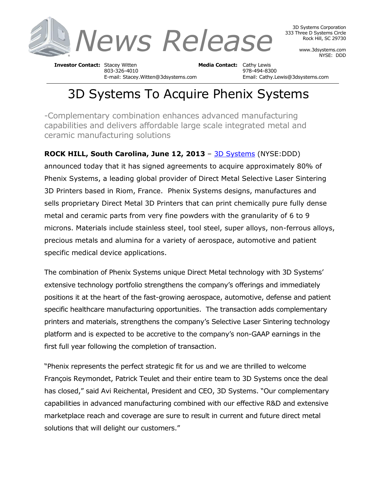

3D Systems Corporation 333 Three D Systems Circle Rock Hill, SC 29730

> www.3dsystems.com NYSE: DDD

**Investor Contact:** Stacey Witten **Media Contact:** Cathy Lewis 803-326-4010 978-494-8300 E-mail: Stacey.Witten@3dsystems.com Email: Cathy.Lewis@3dsystems.com

## 3D Systems To Acquire Phenix Systems

-Complementary combination enhances advanced manufacturing capabilities and delivers affordable large scale integrated metal and ceramic manufacturing solutions

**ROCK HILL, South Carolina, June 12, 2013** – [3D Systems](http://www.3dsystems.com/) (NYSE:DDD) announced today that it has signed agreements to acquire approximately 80% of Phenix Systems, a leading global provider of Direct Metal Selective Laser Sintering 3D Printers based in Riom, France. Phenix Systems designs, manufactures and sells proprietary Direct Metal 3D Printers that can print chemically pure fully dense metal and ceramic parts from very fine powders with the granularity of 6 to 9 microns. Materials include stainless steel, tool steel, super alloys, non-ferrous alloys, precious metals and alumina for a variety of aerospace, automotive and patient specific medical device applications.

The combination of Phenix Systems unique Direct Metal technology with 3D Systems' extensive technology portfolio strengthens the company's offerings and immediately positions it at the heart of the fast-growing aerospace, automotive, defense and patient specific healthcare manufacturing opportunities. The transaction adds complementary printers and materials, strengthens the company's Selective Laser Sintering technology platform and is expected to be accretive to the company's non-GAAP earnings in the first full year following the completion of transaction.

"Phenix represents the perfect strategic fit for us and we are thrilled to welcome François Reymondet, Patrick Teulet and their entire team to 3D Systems once the deal has closed," said Avi Reichental, President and CEO, 3D Systems. "Our complementary capabilities in advanced manufacturing combined with our effective R&D and extensive marketplace reach and coverage are sure to result in current and future direct metal solutions that will delight our customers."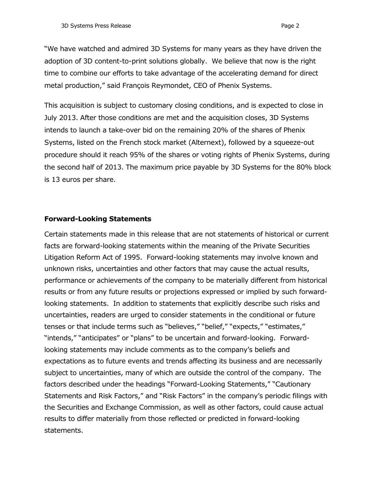"We have watched and admired 3D Systems for many years as they have driven the adoption of 3D content-to-print solutions globally. We believe that now is the right time to combine our efforts to take advantage of the accelerating demand for direct metal production," said François Reymondet, CEO of Phenix Systems.

This acquisition is subject to customary closing conditions, and is expected to close in July 2013. After those conditions are met and the acquisition closes, 3D Systems intends to launch a take-over bid on the remaining 20% of the shares of Phenix Systems, listed on the French stock market (Alternext), followed by a squeeze-out procedure should it reach 95% of the shares or voting rights of Phenix Systems, during the second half of 2013. The maximum price payable by 3D Systems for the 80% block is 13 euros per share.

## **Forward-Looking Statements**

Certain statements made in this release that are not statements of historical or current facts are forward-looking statements within the meaning of the Private Securities Litigation Reform Act of 1995. Forward-looking statements may involve known and unknown risks, uncertainties and other factors that may cause the actual results, performance or achievements of the company to be materially different from historical results or from any future results or projections expressed or implied by such forwardlooking statements. In addition to statements that explicitly describe such risks and uncertainties, readers are urged to consider statements in the conditional or future tenses or that include terms such as "believes," "belief," "expects," "estimates," "intends," "anticipates" or "plans" to be uncertain and forward-looking. Forwardlooking statements may include comments as to the company's beliefs and expectations as to future events and trends affecting its business and are necessarily subject to uncertainties, many of which are outside the control of the company. The factors described under the headings "Forward-Looking Statements," "Cautionary Statements and Risk Factors," and "Risk Factors" in the company's periodic filings with the Securities and Exchange Commission, as well as other factors, could cause actual results to differ materially from those reflected or predicted in forward-looking statements.